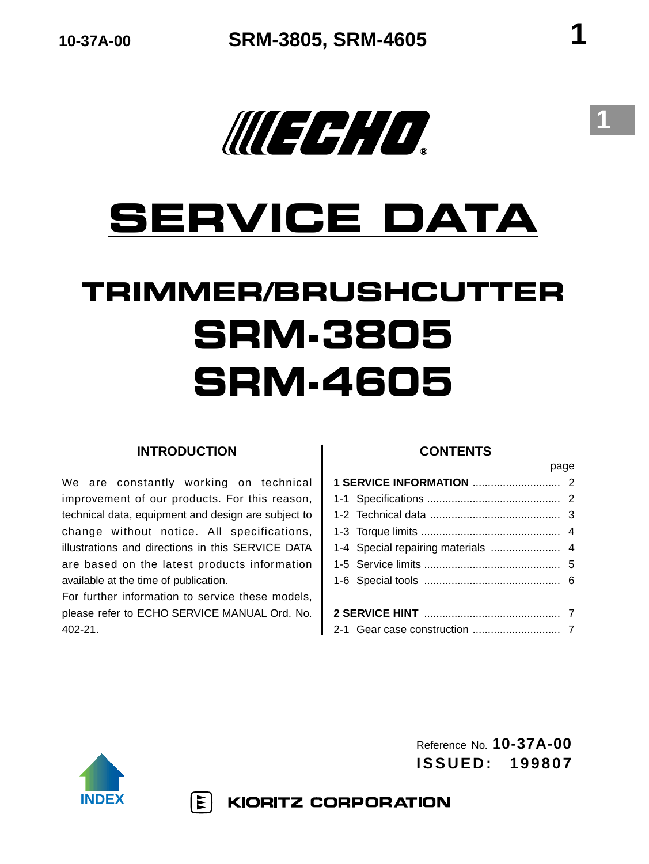# **SERVICE DATA**

## **TRIMMER/BRUSHCUTTER SRM-3805 SRM-4605**

### **INTRODUCTION**

We are constantly working on technical improvement of our products. For this reason, technical data, equipment and design are subject to change without notice. All specifications, illustrations and directions in this SERVICE DATA are based on the latest products information available at the time of publication.

For further information to service these models, please refer to ECHO SERVICE MANUAL Ord. No. 402-21.

 $|\Xi|$ 

#### **CONTENTS**

page

|  | 1-4 Special repairing materials  4 |  |  |  |  |  |
|--|------------------------------------|--|--|--|--|--|
|  |                                    |  |  |  |  |  |
|  |                                    |  |  |  |  |  |
|  |                                    |  |  |  |  |  |
|  |                                    |  |  |  |  |  |



Reference No. **10-37A-00 ISSUED: 199807**

**KIORITZ CORPORATION**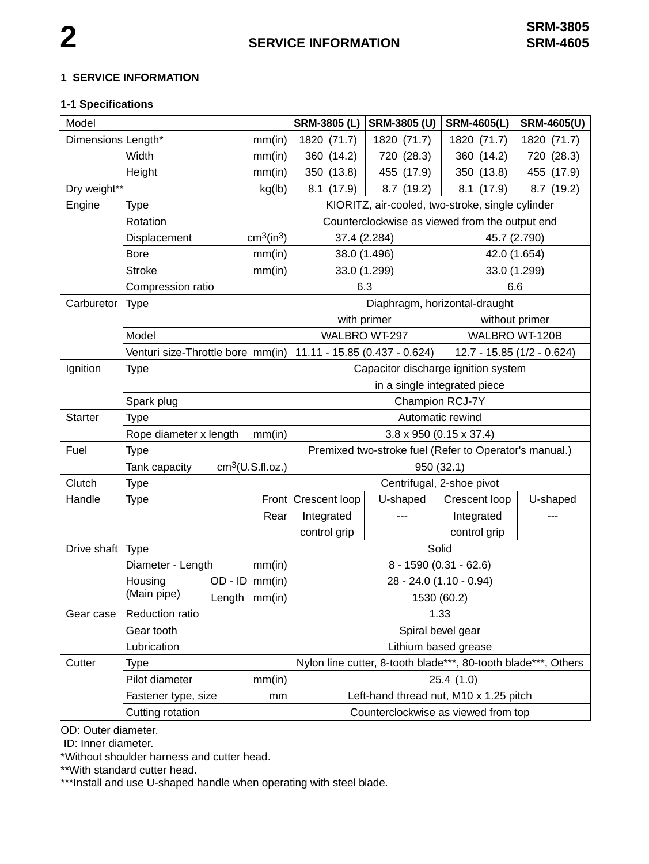#### **1 SERVICE INFORMATION**

## **1-1 Specifications**

| Model                        |                                                             |  |                                     | <b>SRM-3805 (L)</b>                                         | SRM-3805 (U)                                                   | <b>SRM-4605(L)</b> | <b>SRM-4605(U)</b> |  |
|------------------------------|-------------------------------------------------------------|--|-------------------------------------|-------------------------------------------------------------|----------------------------------------------------------------|--------------------|--------------------|--|
| Dimensions Length*<br>mm(in) |                                                             |  | 1820 (71.7)                         | 1820 (71.7)                                                 | 1820 (71.7)                                                    | 1820 (71.7)        |                    |  |
| Width                        |                                                             |  | mm(in)                              | 360 (14.2)                                                  | 720 (28.3)                                                     | 360 (14.2)         | 720 (28.3)         |  |
|                              | Height                                                      |  | mm(in)                              | 350 (13.8)                                                  | 455 (17.9)                                                     | 350 (13.8)         | 455 (17.9)         |  |
| Dry weight**                 |                                                             |  | kg(lb)                              | 8.1(17.9)                                                   | 8.7(19.2)                                                      | 8.1<br>(17.9)      | 8.7 (19.2)         |  |
| Engine                       | <b>Type</b>                                                 |  |                                     |                                                             | KIORITZ, air-cooled, two-stroke, single cylinder               |                    |                    |  |
|                              | Rotation                                                    |  |                                     | Counterclockwise as viewed from the output end              |                                                                |                    |                    |  |
|                              | Displacement                                                |  | cm <sup>3</sup> (in <sup>3</sup> )  | 45.7 (2.790)<br>37.4 (2.284)                                |                                                                |                    |                    |  |
|                              | <b>Bore</b>                                                 |  | mm(in)                              | 38.0 (1.496)                                                |                                                                |                    | 42.0 (1.654)       |  |
|                              | <b>Stroke</b>                                               |  | mm(in)                              |                                                             | 33.0 (1.299)                                                   | 33.0 (1.299)       |                    |  |
|                              | Compression ratio                                           |  |                                     | 6.3                                                         |                                                                | 6.6                |                    |  |
| Carburetor Type              |                                                             |  | Diaphragm, horizontal-draught       |                                                             |                                                                |                    |                    |  |
|                              |                                                             |  |                                     | with primer                                                 |                                                                | without primer     |                    |  |
|                              | Model                                                       |  |                                     | WALBRO WT-297                                               |                                                                |                    | WALBRO WT-120B     |  |
|                              | Venturi size-Throttle bore mm(in)                           |  |                                     | 11.11 - 15.85 (0.437 - 0.624)<br>12.7 - 15.85 (1/2 - 0.624) |                                                                |                    |                    |  |
| Ignition                     | <b>Type</b>                                                 |  | Capacitor discharge ignition system |                                                             |                                                                |                    |                    |  |
|                              |                                                             |  |                                     | in a single integrated piece                                |                                                                |                    |                    |  |
|                              | Spark plug                                                  |  |                                     | Champion RCJ-7Y                                             |                                                                |                    |                    |  |
| <b>Starter</b>               | <b>Type</b>                                                 |  |                                     | Automatic rewind                                            |                                                                |                    |                    |  |
|                              | Rope diameter x length<br>mm(in)                            |  |                                     | $3.8 \times 950$ (0.15 $\times$ 37.4)                       |                                                                |                    |                    |  |
| Fuel                         | <b>Type</b>                                                 |  |                                     | Premixed two-stroke fuel (Refer to Operator's manual.)      |                                                                |                    |                    |  |
|                              | Tank capacity                                               |  | cm <sup>3</sup> (U.S.fI.oz.)        | 950 (32.1)                                                  |                                                                |                    |                    |  |
| Clutch                       | <b>Type</b>                                                 |  |                                     | Centrifugal, 2-shoe pivot                                   |                                                                |                    |                    |  |
| Handle                       | <b>Type</b>                                                 |  |                                     | Front Crescent loop                                         | U-shaped                                                       | Crescent loop      | U-shaped           |  |
|                              |                                                             |  | Rear                                | Integrated                                                  | $- - -$                                                        | Integrated         | ---                |  |
|                              |                                                             |  |                                     | control grip                                                |                                                                | control grip       |                    |  |
| Drive shaft Type             |                                                             |  | Solid                               |                                                             |                                                                |                    |                    |  |
|                              | Diameter - Length                                           |  | mm(in)                              | 8 - 1590 (0.31 - 62.6)                                      |                                                                |                    |                    |  |
|                              | $OD - ID$ mm(in)<br>Housing<br>(Main pipe)<br>Length mm(in) |  |                                     | 28 - 24.0 (1.10 - 0.94)                                     |                                                                |                    |                    |  |
|                              |                                                             |  | 1530 (60.2)                         |                                                             |                                                                |                    |                    |  |
| Gear case                    | Reduction ratio                                             |  | 1.33                                |                                                             |                                                                |                    |                    |  |
|                              | Gear tooth                                                  |  |                                     | Spiral bevel gear                                           |                                                                |                    |                    |  |
|                              | Lubrication                                                 |  |                                     |                                                             | Lithium based grease                                           |                    |                    |  |
| Cutter                       | <b>Type</b>                                                 |  |                                     |                                                             | Nylon line cutter, 8-tooth blade***, 80-tooth blade***, Others |                    |                    |  |
|                              | Pilot diameter<br>mm(in)                                    |  | 25.4(1.0)                           |                                                             |                                                                |                    |                    |  |
|                              | Fastener type, size<br>mm                                   |  |                                     | Left-hand thread nut, M10 x 1.25 pitch                      |                                                                |                    |                    |  |
| Cutting rotation             |                                                             |  | Counterclockwise as viewed from top |                                                             |                                                                |                    |                    |  |

OD: Outer diameter.

ID: Inner diameter.

\*Without shoulder harness and cutter head.

\*\*With standard cutter head.

\*\*\*Install and use U-shaped handle when operating with steel blade.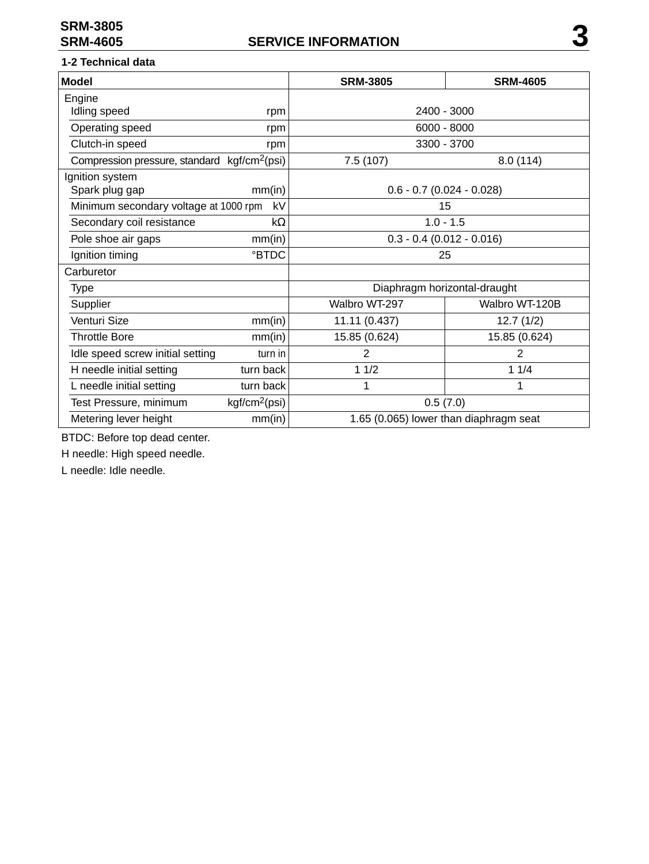## **1-2 Technical data**

| <b>Model</b>                                             |                           | <b>SRM-3805</b>             | <b>SRM-4605</b>                        |  |  |
|----------------------------------------------------------|---------------------------|-----------------------------|----------------------------------------|--|--|
| Engine                                                   |                           |                             |                                        |  |  |
| Idling speed                                             | rpm                       | 2400 - 3000                 |                                        |  |  |
| Operating speed                                          | rpm                       | $6000 - 8000$               |                                        |  |  |
| Clutch-in speed                                          | rpm                       | 3300 - 3700                 |                                        |  |  |
| Compression pressure, standard kgf/cm <sup>2</sup> (psi) |                           | 7.5(107)                    | 8.0(114)                               |  |  |
| Ignition system                                          |                           |                             |                                        |  |  |
| Spark plug gap                                           | mm(in)                    | $0.6 - 0.7$ (0.024 - 0.028) |                                        |  |  |
| Minimum secondary voltage at 1000 rpm                    | kV                        |                             | 15                                     |  |  |
| Secondary coil resistance                                | $k\Omega$                 | $1.0 - 1.5$                 |                                        |  |  |
| Pole shoe air gaps                                       | mm(in)                    | $0.3 - 0.4$ (0.012 - 0.016) |                                        |  |  |
| Ignition timing                                          | <b>BTDC</b>               | 25                          |                                        |  |  |
| Carburetor                                               |                           |                             |                                        |  |  |
| Type                                                     |                           |                             | Diaphragm horizontal-draught           |  |  |
| Supplier                                                 |                           | Walbro WT-297               | Walbro WT-120B                         |  |  |
| Venturi Size                                             | mm(in)                    | 11.11 (0.437)               | 12.7(1/2)                              |  |  |
| <b>Throttle Bore</b>                                     | mm(in)                    | 15.85 (0.624)               | 15.85 (0.624)                          |  |  |
| Idle speed screw initial setting                         | turn in                   | $\overline{2}$              | $\overline{2}$                         |  |  |
| H needle initial setting                                 | turn back                 | 11/2                        | 11/4                                   |  |  |
| L needle initial setting                                 | turn back                 | 1                           | 1                                      |  |  |
| Test Pressure, minimum                                   | kgf/cm <sup>2</sup> (psi) | 0.5(7.0)                    |                                        |  |  |
| Metering lever height                                    | mm(in)                    |                             | 1.65 (0.065) lower than diaphragm seat |  |  |

BTDC: Before top dead center.

H needle: High speed needle.

L needle: Idle needle.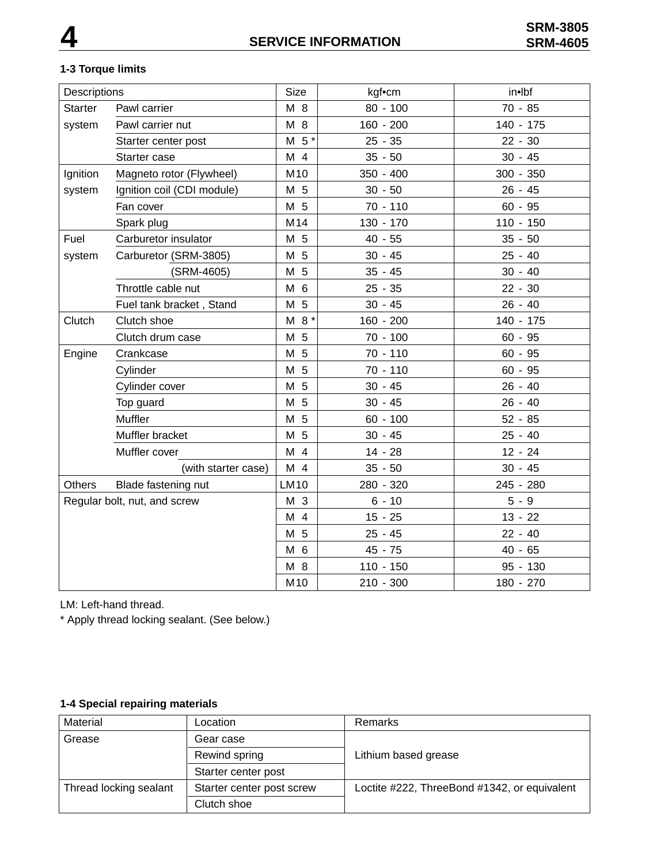## **1-3 Torque limits**

| Descriptions                 |                            | <b>Size</b>    | kgf•cm      | in•lbf      |
|------------------------------|----------------------------|----------------|-------------|-------------|
| <b>Starter</b>               | Pawl carrier               | M 8            | $80 - 100$  | $70 - 85$   |
| system                       | Pawl carrier nut           | M 8            | $160 - 200$ | $140 - 175$ |
|                              | Starter center post        | M <sub>5</sub> | $25 - 35$   | $22 - 30$   |
|                              | Starter case               | M 4            | $35 - 50$   | $30 - 45$   |
| Ignition                     | Magneto rotor (Flywheel)   | M10            | $350 - 400$ | $300 - 350$ |
| system                       | Ignition coil (CDI module) | M 5            | $30 - 50$   | $26 - 45$   |
|                              | Fan cover                  | M 5            | $70 - 110$  | $60 - 95$   |
|                              | Spark plug                 | M14            | 130 - 170   | $110 - 150$ |
| Fuel                         | Carburetor insulator       | M 5            | $40 - 55$   | $35 - 50$   |
| system                       | Carburetor (SRM-3805)      | M 5            | $30 - 45$   | $25 - 40$   |
|                              | (SRM-4605)                 | M 5            | $35 - 45$   | $30 - 40$   |
|                              | Throttle cable nut         | M 6            | $25 - 35$   | $22 - 30$   |
|                              | Fuel tank bracket, Stand   | M 5            | $30 - 45$   | $26 - 40$   |
| Clutch                       | Clutch shoe                | $M 8*$         | 160 - 200   | 140 - 175   |
|                              | Clutch drum case           | M 5            | $70 - 100$  | $60 - 95$   |
| Engine                       | Crankcase                  | M 5            | $70 - 110$  | $60 - 95$   |
|                              | Cylinder                   | M 5            | 70 - 110    | $60 - 95$   |
|                              | Cylinder cover             | M 5            | $30 - 45$   | $26 - 40$   |
|                              | Top guard                  | M 5            | $30 - 45$   | $26 - 40$   |
|                              | Muffler                    | M 5            | $60 - 100$  | $52 - 85$   |
|                              | Muffler bracket            | M 5            | $30 - 45$   | $25 - 40$   |
|                              | Muffler cover              | M 4            | $14 - 28$   | $12 - 24$   |
|                              | (with starter case)        | M 4            | $35 - 50$   | $30 - 45$   |
| <b>Others</b>                | Blade fastening nut        | <b>LM10</b>    | 280 - 320   | 245 - 280   |
| Regular bolt, nut, and screw |                            | M 3            | $6 - 10$    | $5 - 9$     |
|                              |                            | M 4            | $15 - 25$   | $13 - 22$   |
|                              |                            | M 5            | $25 - 45$   | $22 - 40$   |
|                              |                            | M 6            | 45 - 75     | $40 - 65$   |
|                              |                            | M 8            | $110 - 150$ | 95 - 130    |
|                              |                            | M10            | $210 - 300$ | 180 - 270   |

LM: Left-hand thread.

\* Apply thread locking sealant. (See below.)

## **1-4 Special repairing materials**

| Material               | Location                  | Remarks                                      |  |
|------------------------|---------------------------|----------------------------------------------|--|
| Grease                 | Gear case                 |                                              |  |
|                        | Rewind spring             | Lithium based grease                         |  |
|                        | Starter center post       |                                              |  |
| Thread locking sealant | Starter center post screw | Loctite #222, ThreeBond #1342, or equivalent |  |
|                        | Clutch shoe               |                                              |  |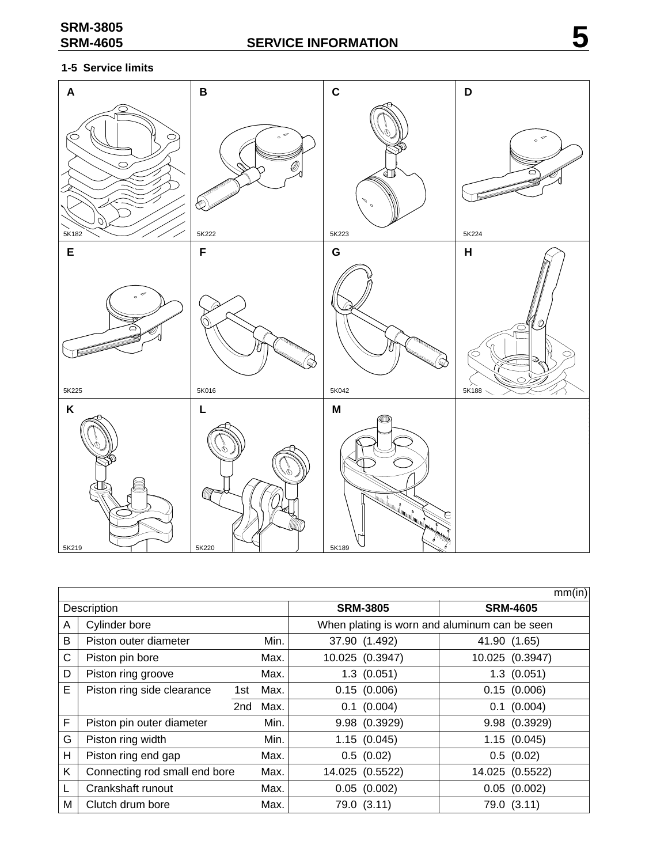## **1-5 Service limits**



|             |                               |     |      |                 | mm(in)                                        |  |  |
|-------------|-------------------------------|-----|------|-----------------|-----------------------------------------------|--|--|
| Description |                               |     |      | <b>SRM-3805</b> | <b>SRM-4605</b>                               |  |  |
| A           | Cylinder bore                 |     |      |                 | When plating is worn and aluminum can be seen |  |  |
| B           | Piston outer diameter         |     | Min. | 37.90 (1.492)   | 41.90 (1.65)                                  |  |  |
| C           | Piston pin bore               |     | Max. | 10.025 (0.3947) | 10.025 (0.3947)                               |  |  |
| D           | Piston ring groove            |     | Max. | 1.3(0.051)      | $1.3$ $(0.051)$                               |  |  |
| E           | Piston ring side clearance    | 1st | Max. | 0.15(0.006)     | 0.15(0.006)                                   |  |  |
|             |                               | 2nd | Max. | $0.1$ (0.004)   | $0.1$ (0.004)                                 |  |  |
| F           | Piston pin outer diameter     |     | Min. | 9.98 (0.3929)   | 9.98 (0.3929)                                 |  |  |
| G           | Piston ring width             |     | Min. | 1.15(0.045)     | 1.15(0.045)                                   |  |  |
| Н           | Piston ring end gap           |     | Max. | 0.5(0.02)       | 0.5(0.02)                                     |  |  |
| Κ           | Connecting rod small end bore |     | Max. | 14.025 (0.5522) | 14.025 (0.5522)                               |  |  |
| L           | Crankshaft runout             |     | Max. | 0.05(0.002)     | 0.05(0.002)                                   |  |  |
| M           | Clutch drum bore              |     | Max. | 79.0 (3.11)     | 79.0 (3.11)                                   |  |  |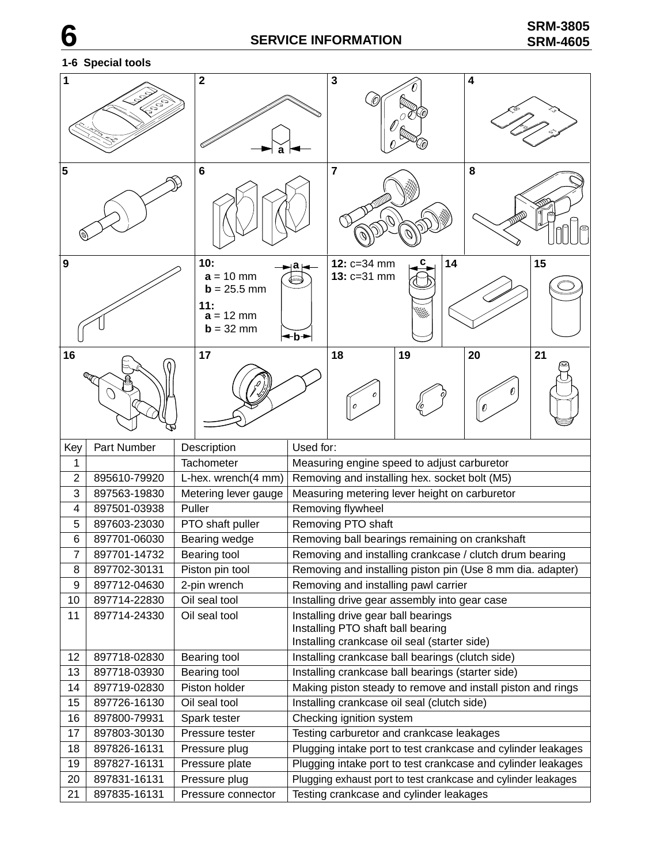#### **2 1 3 4** 1.65 -ج7  $^{\rm z}$ o. ~ئ **a 5 6 7 8 10: a a 12: c=34 mm 14 15 9**  $a = 10$  mm **13:** c=31 mm (⇒  **mm 11:**  $a = 12$  mm  $$ **b 16 17 18 20 19 21** Key Part Number Description | Used for: 1 Tachometer Measuring engine speed to adjust carburetor 2 895610-79920 L-hex. wrench(4 mm) Removing and installing hex. socket bolt (M5) 3 897563-19830 Metering lever gauge Measuring metering lever height on carburetor 4 897501-03938 Puller Removing flywheel 5 897603-23030 PTO shaft puller Removing PTO shaft 6 897701-06030 Bearing wedge Removing ball bearings remaining on crankshaft 7 | 897701-14732 | Bearing tool | Removing and installing crankcase / clutch drum bearing 8 897702-30131 Piston pin tool Removing and installing piston pin (Use 8 mm dia. adapter) 9 897712-04630 2-pin wrench Removing and installing pawl carrier 10 897714-22830 | Oil seal tool | Installing drive gear assembly into gear case 11 897714-24330 | Oil seal tool | Installing drive gear ball bearings Installing PTO shaft ball bearing Installing crankcase oil seal (starter side) 12 897718-02830 Bearing tool | Installing crankcase ball bearings (clutch side) 13 897718-03930 Bearing tool Installing crankcase ball bearings (starter side) 14 897719-02830 Piston holder Making piston steady to remove and install piston and rings 15 897726-16130 | Oil seal tool | Installing crankcase oil seal (clutch side) 16 897800-79931 Spark tester Checking ignition system 17 897803-30130 Pressure tester **Testing carburetor and crankcase leakages** 18 897826-16131 Pressure plug Plugging intake port to test crankcase and cylinder leakages 19 897827-16131 Pressure plate Plugging intake port to test crankcase and cylinder leakages 20 897831-16131 Pressure plug Plugging exhaust port to test crankcase and cylinder leakages 21 897835-16131 Pressure connector Testing crankcase and cylinder leakages